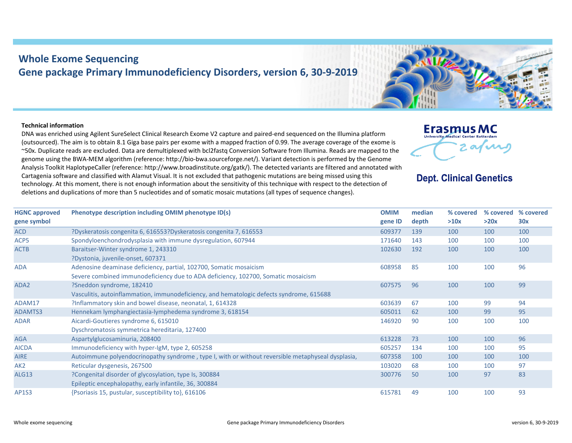## **Whole Exome Sequencing Gene package Primary Immunodeficiency Disorders, version 6, 30‐9‐2019**

## **Technical information**

DNA was enriched using Agilent SureSelect Clinical Research Exome V2 capture and paired‐end sequenced on the Illumina platform (outsourced). The aim is to obtain 8.1 Giga base pairs per exome with a mapped fraction of 0.99. The average coverage of the exome is ~50x. Duplicate reads are excluded. Data are demultiplexed with bcl2fastq Conversion Software from Illumina. Reads are mapped to the genome using the BWA‐MEM algorithm (reference: http://bio‐bwa.sourceforge.net/). Variant detection is performed by the Genome Analysis Toolkit HaplotypeCaller (reference: http://www.broadinstitute.org/gatk/). The detected variants are filtered and annotated with Cartagenia software and classified with Alamut Visual. It is not excluded that pathogenic mutations are being missed using this technology. At this moment, there is not enough information about the sensitivity of this technique with respect to the detection of deletions and duplications of more than 5 nucleotides and of somatic mosaic mutations (all types of sequence changes).



## **Dept. Clinical Genetics**

| <b>HGNC approved</b><br>gene symbol | Phenotype description including OMIM phenotype ID(s)                                              | <b>OMIM</b><br>gene ID | median<br>depth | % covered<br>>10x | % covered<br>>20x | % covered<br>30x |
|-------------------------------------|---------------------------------------------------------------------------------------------------|------------------------|-----------------|-------------------|-------------------|------------------|
| <b>ACD</b>                          | ?Dyskeratosis congenita 6, 616553?Dyskeratosis congenita 7, 616553                                | 609377                 | 139             | 100               | 100               | 100              |
| ACP <sub>5</sub>                    | Spondyloenchondrodysplasia with immune dysregulation, 607944                                      | 171640                 | 143             | 100               | 100               | 100              |
| <b>ACTB</b>                         | Baraitser-Winter syndrome 1, 243310                                                               | 102630                 | 192             | 100               | 100               | 100              |
|                                     | ?Dystonia, juvenile-onset, 607371                                                                 |                        |                 |                   |                   |                  |
| <b>ADA</b>                          | Adenosine deaminase deficiency, partial, 102700, Somatic mosaicism                                | 608958                 | 85              | 100               | 100               | 96               |
|                                     | Severe combined immunodeficiency due to ADA deficiency, 102700, Somatic mosaicism                 |                        |                 |                   |                   |                  |
| ADA <sub>2</sub>                    | ?Sneddon syndrome, 182410                                                                         | 607575                 | 96              | 100               | 100               | 99               |
|                                     | Vasculitis, autoinflammation, immunodeficiency, and hematologic defects syndrome, 615688          |                        |                 |                   |                   |                  |
| ADAM17                              | ?Inflammatory skin and bowel disease, neonatal, 1, 614328                                         | 603639                 | 67              | 100               | 99                | 94               |
| ADAMTS3                             | Hennekam lymphangiectasia-lymphedema syndrome 3, 618154                                           | 605011                 | 62              | 100               | 99                | 95               |
| <b>ADAR</b>                         | Aicardi-Goutieres syndrome 6, 615010                                                              | 146920                 | 90              | 100               | 100               | 100              |
|                                     | Dyschromatosis symmetrica hereditaria, 127400                                                     |                        |                 |                   |                   |                  |
| <b>AGA</b>                          | Aspartylglucosaminuria, 208400                                                                    | 613228                 | 73              | 100               | 100               | 96               |
| <b>AICDA</b>                        | Immunodeficiency with hyper-IgM, type 2, 605258                                                   | 605257                 | 134             | 100               | 100               | 95               |
| <b>AIRE</b>                         | Autoimmune polyendocrinopathy syndrome, type I, with or without reversible metaphyseal dysplasia, | 607358                 | 100             | 100               | 100               | 100              |
| AK <sub>2</sub>                     | Reticular dysgenesis, 267500                                                                      | 103020                 | 68              | 100               | 100               | 97               |
| ALG13                               | ?Congenital disorder of glycosylation, type Is, 300884                                            | 300776                 | 50              | 100               | 97                | 83               |
|                                     | Epileptic encephalopathy, early infantile, 36, 300884                                             |                        |                 |                   |                   |                  |
| AP1S3                               | {Psoriasis 15, pustular, susceptibility to}, 616106                                               | 615781                 | 49              | 100               | 100               | 93               |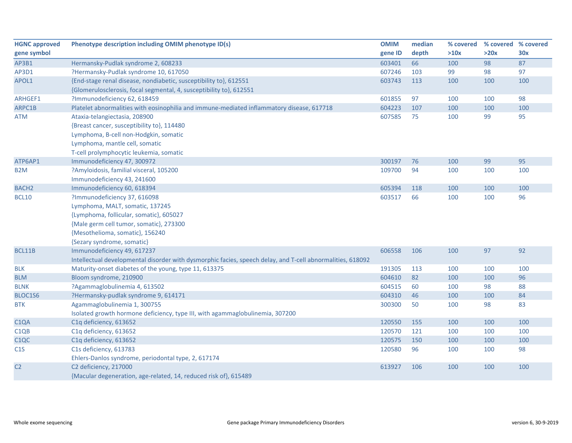| <b>HGNC approved</b> | Phenotype description including OMIM phenotype ID(s)                                                       | <b>OMIM</b> | median | % covered | % covered % covered |     |
|----------------------|------------------------------------------------------------------------------------------------------------|-------------|--------|-----------|---------------------|-----|
| gene symbol          |                                                                                                            | gene ID     | depth  | >10x      | >20x                | 30x |
| AP3B1                | Hermansky-Pudlak syndrome 2, 608233                                                                        | 603401      | 66     | 100       | 98                  | 87  |
| AP3D1                | ?Hermansky-Pudlak syndrome 10, 617050                                                                      | 607246      | 103    | 99        | 98                  | 97  |
| APOL1                | {End-stage renal disease, nondiabetic, susceptibility to}, 612551                                          | 603743      | 113    | 100       | 100                 | 100 |
|                      | {Glomerulosclerosis, focal segmental, 4, susceptibility to}, 612551                                        |             |        |           |                     |     |
| ARHGEF1              | ?Immunodeficiency 62, 618459                                                                               | 601855      | 97     | 100       | 100                 | 98  |
| ARPC1B               | Platelet abnormalities with eosinophilia and immune-mediated inflammatory disease, 617718                  | 604223      | 107    | 100       | 100                 | 100 |
| ATM                  | Ataxia-telangiectasia, 208900                                                                              | 607585      | 75     | 100       | 99                  | 95  |
|                      | {Breast cancer, susceptibility to}, 114480                                                                 |             |        |           |                     |     |
|                      | Lymphoma, B-cell non-Hodgkin, somatic                                                                      |             |        |           |                     |     |
|                      | Lymphoma, mantle cell, somatic                                                                             |             |        |           |                     |     |
|                      | T-cell prolymphocytic leukemia, somatic                                                                    |             |        |           |                     |     |
| ATP6AP1              | Immunodeficiency 47, 300972                                                                                | 300197      | 76     | 100       | 99                  | 95  |
| B <sub>2</sub> M     | ?Amyloidosis, familial visceral, 105200                                                                    | 109700      | 94     | 100       | 100                 | 100 |
|                      | Immunodeficiency 43, 241600                                                                                |             |        |           |                     |     |
| BACH <sub>2</sub>    | Immunodeficiency 60, 618394                                                                                | 605394      | 118    | 100       | 100                 | 100 |
| <b>BCL10</b>         | ?Immunodeficiency 37, 616098                                                                               | 603517      | 66     | 100       | 100                 | 96  |
|                      | Lymphoma, MALT, somatic, 137245                                                                            |             |        |           |                     |     |
|                      | {Lymphoma, follicular, somatic}, 605027                                                                    |             |        |           |                     |     |
|                      | {Male germ cell tumor, somatic}, 273300                                                                    |             |        |           |                     |     |
|                      | {Mesothelioma, somatic}, 156240                                                                            |             |        |           |                     |     |
|                      | {Sezary syndrome, somatic}                                                                                 |             |        |           |                     |     |
| BCL11B               | Immunodeficiency 49, 617237                                                                                | 606558      | 106    | 100       | 97                  | 92  |
|                      | Intellectual developmental disorder with dysmorphic facies, speech delay, and T-cell abnormalities, 618092 |             |        |           |                     |     |
| <b>BLK</b>           | Maturity-onset diabetes of the young, type 11, 613375                                                      | 191305      | 113    | 100       | 100                 | 100 |
| <b>BLM</b>           | Bloom syndrome, 210900                                                                                     | 604610      | 82     | 100       | 100                 | 96  |
| <b>BLNK</b>          | ?Agammaglobulinemia 4, 613502                                                                              | 604515      | 60     | 100       | 98                  | 88  |
| BLOC1S6              | ?Hermansky-pudlak syndrome 9, 614171                                                                       | 604310      | 46     | 100       | 100                 | 84  |
| <b>BTK</b>           | Agammaglobulinemia 1, 300755                                                                               | 300300      | 50     | 100       | 98                  | 83  |
|                      | Isolated growth hormone deficiency, type III, with agammaglobulinemia, 307200                              |             |        |           |                     |     |
| C <sub>1</sub> QA    | C1q deficiency, 613652                                                                                     | 120550      | 155    | 100       | 100                 | 100 |
| C <sub>1QB</sub>     | C1q deficiency, 613652                                                                                     | 120570      | 121    | 100       | 100                 | 100 |
| C <sub>1</sub> QC    | C1q deficiency, 613652                                                                                     | 120575      | 150    | 100       | 100                 | 100 |
| C1S                  | C1s deficiency, 613783                                                                                     | 120580      | 96     | 100       | 100                 | 98  |
|                      | Ehlers-Danlos syndrome, periodontal type, 2, 617174                                                        |             |        |           |                     |     |
| C <sub>2</sub>       | C2 deficiency, 217000                                                                                      | 613927      | 106    | 100       | 100                 | 100 |
|                      | {Macular degeneration, age-related, 14, reduced risk of}, 615489                                           |             |        |           |                     |     |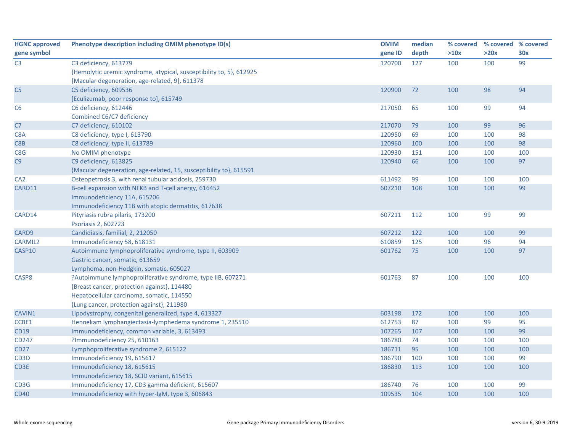| <b>HGNC approved</b> | Phenotype description including OMIM phenotype ID(s)                | <b>OMIM</b> | median | % covered | % covered % covered |     |
|----------------------|---------------------------------------------------------------------|-------------|--------|-----------|---------------------|-----|
| gene symbol          |                                                                     | gene ID     | depth  | >10x      | >20x                | 30x |
| C <sub>3</sub>       | C3 deficiency, 613779                                               | 120700      | 127    | 100       | 100                 | 99  |
|                      | {Hemolytic uremic syndrome, atypical, susceptibility to, 5}, 612925 |             |        |           |                     |     |
|                      | {Macular degeneration, age-related, 9}, 611378                      |             |        |           |                     |     |
| C <sub>5</sub>       | C5 deficiency, 609536                                               | 120900      | 72     | 100       | 98                  | 94  |
|                      | [Eculizumab, poor response to], 615749                              |             |        |           |                     |     |
| C <sub>6</sub>       | C6 deficiency, 612446                                               | 217050      | 65     | 100       | 99                  | 94  |
|                      | Combined C6/C7 deficiency                                           |             |        |           |                     |     |
| C7                   | C7 deficiency, 610102                                               | 217070      | 79     | 100       | 99                  | 96  |
| C8A                  | C8 deficiency, type I, 613790                                       | 120950      | 69     | 100       | 100                 | 98  |
| C8B                  | C8 deficiency, type II, 613789                                      | 120960      | 100    | 100       | 100                 | 98  |
| C8G                  | No OMIM phenotype                                                   | 120930      | 151    | 100       | 100                 | 100 |
| C9                   | C9 deficiency, 613825                                               | 120940      | 66     | 100       | 100                 | 97  |
|                      | {Macular degeneration, age-related, 15, susceptibility to}, 615591  |             |        |           |                     |     |
| CA <sub>2</sub>      | Osteopetrosis 3, with renal tubular acidosis, 259730                | 611492      | 99     | 100       | 100                 | 100 |
| CARD11               | B-cell expansion with NFKB and T-cell anergy, 616452                | 607210      | 108    | 100       | 100                 | 99  |
|                      | Immunodeficiency 11A, 615206                                        |             |        |           |                     |     |
|                      | Immunodeficiency 11B with atopic dermatitis, 617638                 |             |        |           |                     |     |
| CARD14               | Pityriasis rubra pilaris, 173200                                    | 607211      | 112    | 100       | 99                  | 99  |
|                      | Psoriasis 2, 602723                                                 |             |        |           |                     |     |
| CARD9                | Candidiasis, familial, 2, 212050                                    | 607212      | 122    | 100       | 100                 | 99  |
| <b>CARMIL2</b>       | Immunodeficiency 58, 618131                                         | 610859      | 125    | 100       | 96                  | 94  |
| CASP10               | Autoimmune lymphoproliferative syndrome, type II, 603909            | 601762      | 75     | 100       | 100                 | 97  |
|                      | Gastric cancer, somatic, 613659                                     |             |        |           |                     |     |
|                      | Lymphoma, non-Hodgkin, somatic, 605027                              |             |        |           |                     |     |
| CASP8                | ?Autoimmune lymphoproliferative syndrome, type IIB, 607271          | 601763      | 87     | 100       | 100                 | 100 |
|                      | {Breast cancer, protection against}, 114480                         |             |        |           |                     |     |
|                      | Hepatocellular carcinoma, somatic, 114550                           |             |        |           |                     |     |
|                      | {Lung cancer, protection against}, 211980                           |             |        |           |                     |     |
| CAVIN1               | Lipodystrophy, congenital generalized, type 4, 613327               | 603198      | 172    | 100       | 100                 | 100 |
| CCBE1                | Hennekam lymphangiectasia-lymphedema syndrome 1, 235510             | 612753      | 87     | 100       | 99                  | 95  |
| <b>CD19</b>          | Immunodeficiency, common variable, 3, 613493                        | 107265      | 107    | 100       | 100                 | 99  |
| CD247                | ?Immunodeficiency 25, 610163                                        | 186780      | 74     | 100       | 100                 | 100 |
| <b>CD27</b>          | Lymphoproliferative syndrome 2, 615122                              | 186711      | 95     | 100       | 100                 | 100 |
| CD3D                 | Immunodeficiency 19, 615617                                         | 186790      | 100    | 100       | 100                 | 99  |
| CD3E                 | Immunodeficiency 18, 615615                                         | 186830      | 113    | 100       | 100                 | 100 |
|                      | Immunodeficiency 18, SCID variant, 615615                           |             |        |           |                     |     |
| CD3G                 | Immunodeficiency 17, CD3 gamma deficient, 615607                    | 186740      | 76     | 100       | 100                 | 99  |
| <b>CD40</b>          | Immunodeficiency with hyper-IgM, type 3, 606843                     | 109535      | 104    | 100       | 100                 | 100 |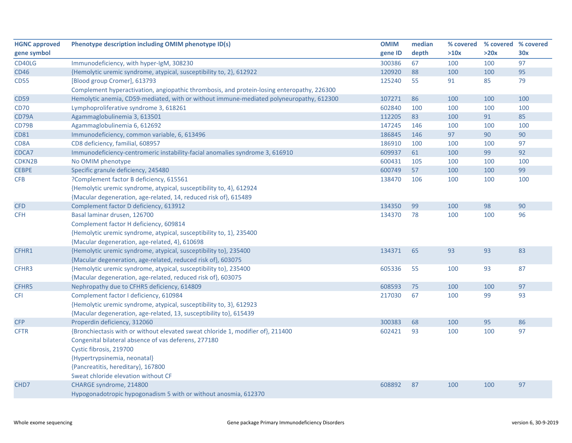| <b>HGNC approved</b> | Phenotype description including OMIM phenotype ID(s)                                       | <b>OMIM</b> | median | % covered | % covered % covered |     |
|----------------------|--------------------------------------------------------------------------------------------|-------------|--------|-----------|---------------------|-----|
| gene symbol          |                                                                                            | gene ID     | depth  | >10x      | >20x                | 30x |
| CD40LG               | Immunodeficiency, with hyper-IgM, 308230                                                   | 300386      | 67     | 100       | 100                 | 97  |
| <b>CD46</b>          | {Hemolytic uremic syndrome, atypical, susceptibility to, 2}, 612922                        | 120920      | 88     | 100       | 100                 | 95  |
| <b>CD55</b>          | [Blood group Cromer], 613793                                                               | 125240      | 55     | 91        | 85                  | 79  |
|                      | Complement hyperactivation, angiopathic thrombosis, and protein-losing enteropathy, 226300 |             |        |           |                     |     |
| <b>CD59</b>          | Hemolytic anemia, CD59-mediated, with or without immune-mediated polyneuropathy, 612300    | 107271      | 86     | 100       | 100                 | 100 |
| <b>CD70</b>          | Lymphoproliferative syndrome 3, 618261                                                     | 602840      | 100    | 100       | 100                 | 100 |
| CD79A                | Agammaglobulinemia 3, 613501                                                               | 112205      | 83     | 100       | 91                  | 85  |
| CD79B                | Agammaglobulinemia 6, 612692                                                               | 147245      | 146    | 100       | 100                 | 100 |
| <b>CD81</b>          | Immunodeficiency, common variable, 6, 613496                                               | 186845      | 146    | 97        | 90                  | 90  |
| CD8A                 | CD8 deficiency, familial, 608957                                                           | 186910      | 100    | 100       | 100                 | 97  |
| CDCA7                | Immunodeficiency-centromeric instability-facial anomalies syndrome 3, 616910               | 609937      | 61     | 100       | 99                  | 92  |
| CDKN2B               | No OMIM phenotype                                                                          | 600431      | 105    | 100       | 100                 | 100 |
| <b>CEBPE</b>         | Specific granule deficiency, 245480                                                        | 600749      | 57     | 100       | 100                 | 99  |
| CFB                  | ?Complement factor B deficiency, 615561                                                    | 138470      | 106    | 100       | 100                 | 100 |
|                      | {Hemolytic uremic syndrome, atypical, susceptibility to, 4}, 612924                        |             |        |           |                     |     |
|                      | {Macular degeneration, age-related, 14, reduced risk of}, 615489                           |             |        |           |                     |     |
| <b>CFD</b>           | Complement factor D deficiency, 613912                                                     | 134350      | 99     | 100       | 98                  | 90  |
| <b>CFH</b>           | Basal laminar drusen, 126700                                                               | 134370      | 78     | 100       | 100                 | 96  |
|                      | Complement factor H deficiency, 609814                                                     |             |        |           |                     |     |
|                      | {Hemolytic uremic syndrome, atypical, susceptibility to, 1}, 235400                        |             |        |           |                     |     |
|                      | {Macular degeneration, age-related, 4}, 610698                                             |             |        |           |                     |     |
| CFHR1                | {Hemolytic uremic syndrome, atypical, susceptibility to}, 235400                           | 134371      | 65     | 93        | 93                  | 83  |
|                      | {Macular degeneration, age-related, reduced risk of}, 603075                               |             |        |           |                     |     |
| CFHR3                | {Hemolytic uremic syndrome, atypical, susceptibility to}, 235400                           | 605336      | 55     | 100       | 93                  | 87  |
|                      | {Macular degeneration, age-related, reduced risk of}, 603075                               |             |        |           |                     |     |
| CFHR5                | Nephropathy due to CFHR5 deficiency, 614809                                                | 608593      | 75     | 100       | 100                 | 97  |
| <b>CFI</b>           | Complement factor I deficiency, 610984                                                     | 217030      | 67     | 100       | 99                  | 93  |
|                      | {Hemolytic uremic syndrome, atypical, susceptibility to, 3}, 612923                        |             |        |           |                     |     |
|                      | {Macular degeneration, age-related, 13, susceptibility to}, 615439                         |             |        |           |                     |     |
| <b>CFP</b>           | Properdin deficiency, 312060                                                               | 300383      | 68     | 100       | 95                  | 86  |
| <b>CFTR</b>          | {Bronchiectasis with or without elevated sweat chloride 1, modifier of}, 211400            | 602421      | 93     | 100       | 100                 | 97  |
|                      | Congenital bilateral absence of vas deferens, 277180                                       |             |        |           |                     |     |
|                      | Cystic fibrosis, 219700                                                                    |             |        |           |                     |     |
|                      | {Hypertrypsinemia, neonatal}                                                               |             |        |           |                     |     |
|                      | {Pancreatitis, hereditary}, 167800                                                         |             |        |           |                     |     |
|                      | Sweat chloride elevation without CF                                                        |             |        |           |                     |     |
| CHD7                 | CHARGE syndrome, 214800                                                                    | 608892      | 87     | 100       | 100                 | 97  |
|                      | Hypogonadotropic hypogonadism 5 with or without anosmia, 612370                            |             |        |           |                     |     |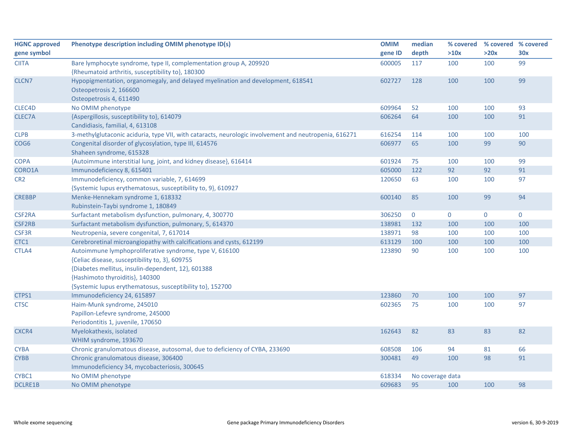| <b>HGNC approved</b> | Phenotype description including OMIM phenotype ID(s)                                                                                                                                                                                                            | <b>OMIM</b> | median           | % covered   | % covered % covered |             |
|----------------------|-----------------------------------------------------------------------------------------------------------------------------------------------------------------------------------------------------------------------------------------------------------------|-------------|------------------|-------------|---------------------|-------------|
| gene symbol          |                                                                                                                                                                                                                                                                 | gene ID     | depth            | >10x        | >20x                | 30x         |
| <b>CIITA</b>         | Bare lymphocyte syndrome, type II, complementation group A, 209920<br>{Rheumatoid arthritis, susceptibility to}, 180300                                                                                                                                         | 600005      | 117              | 100         | 100                 | 99          |
| CLCN7                | Hypopigmentation, organomegaly, and delayed myelination and development, 618541<br>Osteopetrosis 2, 166600<br>Osteopetrosis 4, 611490                                                                                                                           | 602727      | 128              | 100         | 100                 | 99          |
| CLEC4D               | No OMIM phenotype                                                                                                                                                                                                                                               | 609964      | 52               | 100         | 100                 | 93          |
| CLEC7A               | {Aspergillosis, susceptibility to}, 614079<br>Candidiasis, familial, 4, 613108                                                                                                                                                                                  | 606264      | 64               | 100         | 100                 | 91          |
| <b>CLPB</b>          | 3-methylglutaconic aciduria, type VII, with cataracts, neurologic involvement and neutropenia, 616271                                                                                                                                                           | 616254      | 114              | 100         | 100                 | 100         |
| COG6                 | Congenital disorder of glycosylation, type III, 614576<br>Shaheen syndrome, 615328                                                                                                                                                                              | 606977      | 65               | 100         | 99                  | 90          |
| COPA                 | {Autoimmune interstitial lung, joint, and kidney disease}, 616414                                                                                                                                                                                               | 601924      | 75               | 100         | 100                 | 99          |
| CORO1A               | Immunodeficiency 8, 615401                                                                                                                                                                                                                                      | 605000      | 122              | 92          | 92                  | 91          |
| CR <sub>2</sub>      | Immunodeficiency, common variable, 7, 614699<br>{Systemic lupus erythematosus, susceptibility to, 9}, 610927                                                                                                                                                    | 120650      | 63               | 100         | 100                 | 97          |
| <b>CREBBP</b>        | Menke-Hennekam syndrome 1, 618332<br>Rubinstein-Taybi syndrome 1, 180849                                                                                                                                                                                        | 600140      | 85               | 100         | 99                  | 94          |
| CSF2RA               | Surfactant metabolism dysfunction, pulmonary, 4, 300770                                                                                                                                                                                                         | 306250      | $\mathbf 0$      | $\mathbf 0$ | $\mathbf{0}$        | $\mathbf 0$ |
| CSF2RB               | Surfactant metabolism dysfunction, pulmonary, 5, 614370                                                                                                                                                                                                         | 138981      | 132              | 100         | 100                 | 100         |
| CSF3R                | Neutropenia, severe congenital, 7, 617014                                                                                                                                                                                                                       | 138971      | 98               | 100         | 100                 | 100         |
| CTC1                 | Cerebroretinal microangiopathy with calcifications and cysts, 612199                                                                                                                                                                                            | 613129      | 100              | 100         | 100                 | 100         |
| CTLA4                | Autoimmune lymphoproliferative syndrome, type V, 616100<br>{Celiac disease, susceptibility to, 3}, 609755<br>{Diabetes mellitus, insulin-dependent, 12}, 601388<br>{Hashimoto thyroiditis}, 140300<br>{Systemic lupus erythematosus, susceptibility to}, 152700 | 123890      | 90               | 100         | 100                 | 100         |
| CTPS1                | Immunodeficiency 24, 615897                                                                                                                                                                                                                                     | 123860      | 70               | 100         | 100                 | 97          |
| <b>CTSC</b>          | Haim-Munk syndrome, 245010<br>Papillon-Lefevre syndrome, 245000<br>Periodontitis 1, juvenile, 170650                                                                                                                                                            | 602365      | 75               | 100         | 100                 | 97          |
| CXCR4                | Myelokathexis, isolated<br>WHIM syndrome, 193670                                                                                                                                                                                                                | 162643      | 82               | 83          | 83                  | 82          |
| <b>CYBA</b>          | Chronic granulomatous disease, autosomal, due to deficiency of CYBA, 233690                                                                                                                                                                                     | 608508      | 106              | 94          | 81                  | 66          |
| <b>CYBB</b>          | Chronic granulomatous disease, 306400<br>Immunodeficiency 34, mycobacteriosis, 300645                                                                                                                                                                           | 300481      | 49               | 100         | 98                  | 91          |
| CYBC1                | No OMIM phenotype                                                                                                                                                                                                                                               | 618334      | No coverage data |             |                     |             |
| DCLRE1B              | No OMIM phenotype                                                                                                                                                                                                                                               | 609683      | 95               | 100         | 100                 | 98          |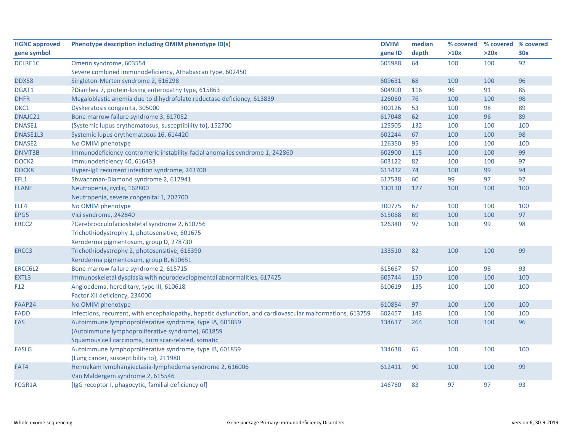| <b>HGNC approved</b> | Phenotype description including OMIM phenotype ID(s)                                                      | <b>OMIM</b> | median | % covered | % covered % covered |     |
|----------------------|-----------------------------------------------------------------------------------------------------------|-------------|--------|-----------|---------------------|-----|
| gene symbol          |                                                                                                           | gene ID     | depth  | >10x      | >20x                | 30x |
| <b>DCLRE1C</b>       | Omenn syndrome, 603554                                                                                    | 605988      | 64     | 100       | 100                 | 92  |
|                      | Severe combined immunodeficiency, Athabascan type, 602450                                                 |             |        |           |                     |     |
| DDX58                | Singleton-Merten syndrome 2, 616298                                                                       | 609631      | 68     | 100       | 100                 | 96  |
| DGAT1                | ?Diarrhea 7, protein-losing enteropathy type, 615863                                                      | 604900      | 116    | 96        | 91                  | 85  |
| <b>DHFR</b>          | Megaloblastic anemia due to dihydrofolate reductase deficiency, 613839                                    | 126060      | 76     | 100       | 100                 | 98  |
| DKC1                 | Dyskeratosis congenita, 305000                                                                            | 300126      | 53     | 100       | 98                  | 89  |
| DNAJC21              | Bone marrow failure syndrome 3, 617052                                                                    | 617048      | 62     | 100       | 96                  | 89  |
| <b>DNASE1</b>        | {Systemic lupus erythematosus, susceptibility to}, 152700                                                 | 125505      | 132    | 100       | 100                 | 100 |
| DNASE1L3             | Systemic lupus erythematosus 16, 614420                                                                   | 602244      | 67     | 100       | 100                 | 98  |
| DNASE2               | No OMIM phenotype                                                                                         | 126350      | 95     | 100       | 100                 | 100 |
| DNMT3B               | Immunodeficiency-centromeric instability-facial anomalies syndrome 1, 242860                              | 602900      | 115    | 100       | 100                 | 99  |
| DOCK <sub>2</sub>    | Immunodeficiency 40, 616433                                                                               | 603122      | 82     | 100       | 100                 | 97  |
| DOCK8                | Hyper-IgE recurrent infection syndrome, 243700                                                            | 611432      | 74     | 100       | 99                  | 94  |
| EFL1                 | Shwachman-Diamond syndrome 2, 617941                                                                      | 617538      | 60     | 99        | 97                  | 92  |
| <b>ELANE</b>         | Neutropenia, cyclic, 162800                                                                               | 130130      | 127    | 100       | 100                 | 100 |
|                      | Neutropenia, severe congenital 1, 202700                                                                  |             |        |           |                     |     |
| ELF4                 | No OMIM phenotype                                                                                         | 300775      | 67     | 100       | 100                 | 100 |
| EPG5                 | Vici syndrome, 242840                                                                                     | 615068      | 69     | 100       | 100                 | 97  |
| ERCC <sub>2</sub>    | ?Cerebrooculofacioskeletal syndrome 2, 610756                                                             | 126340      | 97     | 100       | 99                  | 98  |
|                      | Trichothiodystrophy 1, photosensitive, 601675                                                             |             |        |           |                     |     |
|                      | Xeroderma pigmentosum, group D, 278730                                                                    |             |        |           |                     |     |
| ERCC3                | Trichothiodystrophy 2, photosensitive, 616390                                                             | 133510      | 82     | 100       | 100                 | 99  |
|                      | Xeroderma pigmentosum, group B, 610651                                                                    |             |        |           |                     |     |
| ERCC6L2              | Bone marrow failure syndrome 2, 615715                                                                    | 615667      | 57     | 100       | 98                  | 93  |
| EXTL3                | Immunoskeletal dysplasia with neurodevelopmental abnormalities, 617425                                    | 605744      | 150    | 100       | 100                 | 100 |
| F <sub>12</sub>      | Angioedema, hereditary, type III, 610618                                                                  | 610619      | 135    | 100       | 100                 | 100 |
|                      | Factor XII deficiency, 234000                                                                             |             |        |           |                     |     |
| FAAP24               | No OMIM phenotype                                                                                         | 610884      | 97     | 100       | 100                 | 100 |
| <b>FADD</b>          | Infections, recurrent, with encephalopathy, hepatic dysfunction, and cardiovascular malformations, 613759 | 602457      | 143    | 100       | 100                 | 100 |
| <b>FAS</b>           | Autoimmune lymphoproliferative syndrome, type IA, 601859                                                  | 134637      | 264    | 100       | 100                 | 96  |
|                      | {Autoimmune lymphoproliferative syndrome}, 601859                                                         |             |        |           |                     |     |
|                      | Squamous cell carcinoma, burn scar-related, somatic                                                       |             |        |           |                     |     |
| <b>FASLG</b>         | Autoimmune lymphoproliferative syndrome, type IB, 601859                                                  | 134638      | 65     | 100       | 100                 | 100 |
|                      | {Lung cancer, susceptibility to}, 211980                                                                  |             |        |           |                     |     |
| FAT4                 | Hennekam lymphangiectasia-lymphedema syndrome 2, 616006                                                   | 612411      | 90     | 100       | 100                 | 99  |
|                      | Van Maldergem syndrome 2, 615546                                                                          |             |        |           |                     |     |
| FCGR1A               | [IgG receptor I, phagocytic, familial deficiency of]                                                      | 146760      | 83     | 97        | 97                  | 93  |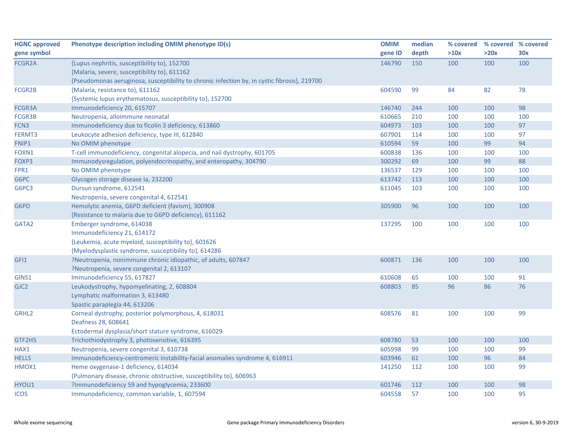| <b>HGNC approved</b> | Phenotype description including OMIM phenotype ID(s)                                         | <b>OMIM</b> | median | % covered | % covered % covered |     |
|----------------------|----------------------------------------------------------------------------------------------|-------------|--------|-----------|---------------------|-----|
| gene symbol          |                                                                                              | gene ID     | depth  | >10x      | >20x                | 30x |
| FCGR2A               | {Lupus nephritis, susceptibility to}, 152700                                                 | 146790      | 150    | 100       | 100                 | 100 |
|                      | {Malaria, severe, susceptibility to}, 611162                                                 |             |        |           |                     |     |
|                      | {Pseudomonas aeruginosa, susceptibility to chronic infection by, in cystic fibrosis}, 219700 |             |        |           |                     |     |
| FCGR2B               | {Malaria, resistance to}, 611162                                                             | 604590      | 99     | 84        | 82                  | 78  |
|                      | {Systemic lupus erythematosus, susceptibility to}, 152700                                    |             |        |           |                     |     |
| FCGR3A               | Immunodeficiency 20, 615707                                                                  | 146740      | 244    | 100       | 100                 | 98  |
| FCGR3B               | Neutropenia, alloimmune neonatal                                                             | 610665      | 210    | 100       | 100                 | 100 |
| FCN3                 | Immunodeficiency due to ficolin 3 deficiency, 613860                                         | 604973      | 103    | 100       | 100                 | 97  |
| FERMT3               | Leukocyte adhesion deficiency, type III, 612840                                              | 607901      | 114    | 100       | 100                 | 97  |
| FNIP1                | No OMIM phenotype                                                                            | 610594      | 59     | 100       | 99                  | 94  |
| FOXN1                | T-cell immunodeficiency, congenital alopecia, and nail dystrophy, 601705                     | 600838      | 136    | 100       | 100                 | 100 |
| FOXP3                | Immunodysregulation, polyendocrinopathy, and enteropathy, 304790                             | 300292      | 69     | 100       | 99                  | 88  |
| FPR1                 | No OMIM phenotype                                                                            | 136537      | 129    | 100       | 100                 | 100 |
| G6PC                 | Glycogen storage disease la, 232200                                                          | 613742      | 113    | 100       | 100                 | 100 |
| G6PC3                | Dursun syndrome, 612541                                                                      | 611045      | 103    | 100       | 100                 | 100 |
|                      | Neutropenia, severe congenital 4, 612541                                                     |             |        |           |                     |     |
| G6PD                 | Hemolytic anemia, G6PD deficient (favism), 300908                                            | 305900      | 96     | 100       | 100                 | 100 |
|                      | {Resistance to malaria due to G6PD deficiency}, 611162                                       |             |        |           |                     |     |
| GATA2                | Emberger syndrome, 614038                                                                    | 137295      | 100    | 100       | 100                 | 100 |
|                      | Immunodeficiency 21, 614172                                                                  |             |        |           |                     |     |
|                      | {Leukemia, acute myeloid, susceptibility to}, 601626                                         |             |        |           |                     |     |
|                      | {Myelodysplastic syndrome, susceptibility to}, 614286                                        |             |        |           |                     |     |
| GFI1                 | ?Neutropenia, nonimmune chronic idiopathic, of adults, 607847                                | 600871      | 136    | 100       | 100                 | 100 |
|                      | ?Neutropenia, severe congenital 2, 613107                                                    |             |        |           |                     |     |
| GINS1                | Immunodeficiency 55, 617827                                                                  | 610608      | 65     | 100       | 100                 | 91  |
| GJC <sub>2</sub>     | Leukodystrophy, hypomyelinating, 2, 608804                                                   | 608803      | 85     | 96        | 86                  | 76  |
|                      | Lymphatic malformation 3, 613480                                                             |             |        |           |                     |     |
|                      | Spastic paraplegia 44, 613206                                                                |             |        |           |                     |     |
| GRHL <sub>2</sub>    | Corneal dystrophy, posterior polymorphous, 4, 618031                                         | 608576      | 81     | 100       | 100                 | 99  |
|                      | Deafness 28, 608641                                                                          |             |        |           |                     |     |
|                      | Ectodermal dysplasia/short stature syndrome, 616029                                          |             |        |           |                     |     |
| GTF2H5               | Trichothiodystrophy 3, photosensitive, 616395                                                | 608780      | 53     | 100       | 100                 | 100 |
| HAX1                 | Neutropenia, severe congenital 3, 610738                                                     | 605998      | 99     | 100       | 100                 | 99  |
| <b>HELLS</b>         | Immunodeficiency-centromeric instability-facial anomalies syndrome 4, 616911                 | 603946      | 61     | 100       | 96                  | 84  |
| HMOX1                | Heme oxygenase-1 deficiency, 614034                                                          | 141250      | 112    | 100       | 100                 | 99  |
|                      | {Pulmonary disease, chronic obstructive, susceptibility to}, 606963                          |             |        |           |                     |     |
| HYOU1                | ?Immunodeficiency 59 and hypoglycemia, 233600                                                | 601746      | 112    | 100       | 100                 | 98  |
| <b>ICOS</b>          | Immunodeficiency, common variable, 1, 607594                                                 | 604558      | 57     | 100       | 100                 | 95  |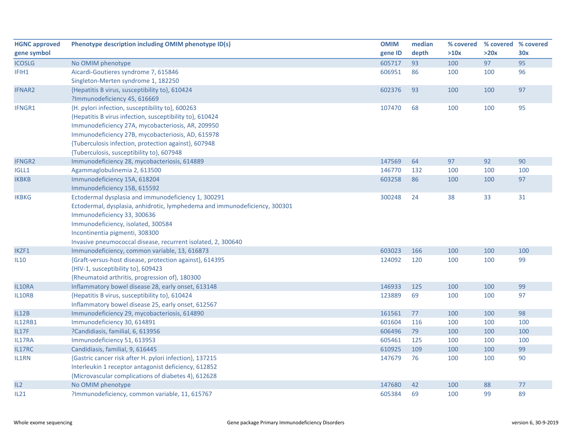| <b>HGNC approved</b> | Phenotype description including OMIM phenotype ID(s)                       | <b>OMIM</b> | median | % covered | % covered % covered |     |
|----------------------|----------------------------------------------------------------------------|-------------|--------|-----------|---------------------|-----|
| gene symbol          |                                                                            | gene ID     | depth  | >10x      | >20x                | 30x |
| <b>ICOSLG</b>        | No OMIM phenotype                                                          | 605717      | 93     | 100       | 97                  | 95  |
| IFIH1                | Aicardi-Goutieres syndrome 7, 615846                                       | 606951      | 86     | 100       | 100                 | 96  |
|                      | Singleton-Merten syndrome 1, 182250                                        |             |        |           |                     |     |
| <b>IFNAR2</b>        | {Hepatitis B virus, susceptibility to}, 610424                             | 602376      | 93     | 100       | 100                 | 97  |
|                      | ?Immunodeficiency 45, 616669                                               |             |        |           |                     |     |
| IFNGR1               | {H. pylori infection, susceptibility to}, 600263                           | 107470      | 68     | 100       | 100                 | 95  |
|                      | {Hepatitis B virus infection, susceptibility to}, 610424                   |             |        |           |                     |     |
|                      | Immunodeficiency 27A, mycobacteriosis, AR, 209950                          |             |        |           |                     |     |
|                      | Immunodeficiency 27B, mycobacteriosis, AD, 615978                          |             |        |           |                     |     |
|                      | {Tuberculosis infection, protection against}, 607948                       |             |        |           |                     |     |
|                      | {Tuberculosis, susceptibility to}, 607948                                  |             |        |           |                     |     |
| <b>IFNGR2</b>        | Immunodeficiency 28, mycobacteriosis, 614889                               | 147569      | 64     | 97        | 92                  | 90  |
| IGLL1                | Agammaglobulinemia 2, 613500                                               | 146770      | 132    | 100       | 100                 | 100 |
| <b>IKBKB</b>         | Immunodeficiency 15A, 618204                                               | 603258      | 86     | 100       | 100                 | 97  |
|                      | Immunodeficiency 15B, 615592                                               |             |        |           |                     |     |
| <b>IKBKG</b>         | Ectodermal dysplasia and immunodeficiency 1, 300291                        | 300248      | 24     | 38        | 33                  | 31  |
|                      | Ectodermal, dysplasia, anhidrotic, lymphedema and immunodeficiency, 300301 |             |        |           |                     |     |
|                      | Immunodeficiency 33, 300636                                                |             |        |           |                     |     |
|                      | Immunodeficiency, isolated, 300584                                         |             |        |           |                     |     |
|                      | Incontinentia pigmenti, 308300                                             |             |        |           |                     |     |
|                      | Invasive pneumococcal disease, recurrent isolated, 2, 300640               |             |        |           |                     |     |
| IKZF1                | Immunodeficiency, common variable, 13, 616873                              | 603023      | 166    | 100       | 100                 | 100 |
| <b>IL10</b>          | {Graft-versus-host disease, protection against}, 614395                    | 124092      | 120    | 100       | 100                 | 99  |
|                      | {HIV-1, susceptibility to}, 609423                                         |             |        |           |                     |     |
|                      | {Rheumatoid arthritis, progression of}, 180300                             |             |        |           |                     |     |
| IL10RA               | Inflammatory bowel disease 28, early onset, 613148                         | 146933      | 125    | 100       | 100                 | 99  |
| IL10RB               | {Hepatitis B virus, susceptibility to}, 610424                             | 123889      | 69     | 100       | 100                 | 97  |
|                      | Inflammatory bowel disease 25, early onset, 612567                         |             |        |           |                     |     |
| IL12B                | Immunodeficiency 29, mycobacteriosis, 614890                               | 161561      | 77     | 100       | 100                 | 98  |
| <b>IL12RB1</b>       | Immunodeficiency 30, 614891                                                | 601604      | 116    | 100       | 100                 | 100 |
| IL17F                | ?Candidiasis, familial, 6, 613956                                          | 606496      | 79     | 100       | 100                 | 100 |
| IL17RA               | Immunodeficiency 51, 613953                                                | 605461      | 125    | 100       | 100                 | 100 |
| IL17RC               | Candidiasis, familial, 9, 616445                                           | 610925      | 109    | 100       | 100                 | 99  |
| IL1RN                | {Gastric cancer risk after H. pylori infection}, 137215                    | 147679      | 76     | 100       | 100                 | 90  |
|                      | Interleukin 1 receptor antagonist deficiency, 612852                       |             |        |           |                     |     |
|                      | {Microvascular complications of diabetes 4}, 612628                        |             |        |           |                     |     |
| IL2                  | No OMIM phenotype                                                          | 147680      | 42     | 100       | 88                  | 77  |
| IL21                 | ?Immunodeficiency, common variable, 11, 615767                             | 605384      | 69     | 100       | 99                  | 89  |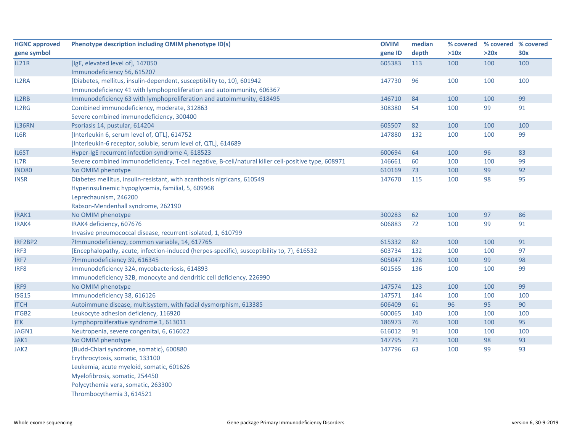| <b>HGNC</b> approved | Phenotype description including OMIM phenotype ID(s)                                                | <b>OMIM</b> | median | % covered | % covered % covered |     |
|----------------------|-----------------------------------------------------------------------------------------------------|-------------|--------|-----------|---------------------|-----|
| gene symbol          |                                                                                                     | gene ID     | depth  | >10x      | >20x                | 30x |
| <b>IL21R</b>         | [IgE, elevated level of], 147050                                                                    | 605383      | 113    | 100       | 100                 | 100 |
|                      | Immunodeficiency 56, 615207                                                                         |             |        |           |                     |     |
| IL2RA                | {Diabetes, mellitus, insulin-dependent, susceptibility to, 10}, 601942                              | 147730      | 96     | 100       | 100                 | 100 |
|                      | Immunodeficiency 41 with lymphoproliferation and autoimmunity, 606367                               |             |        |           |                     |     |
| IL2RB                | Immunodeficiency 63 with lymphoproliferation and autoimmunity, 618495                               | 146710      | 84     | 100       | 100                 | 99  |
| IL2RG                | Combined immunodeficiency, moderate, 312863                                                         | 308380      | 54     | 100       | 99                  | 91  |
|                      | Severe combined immunodeficiency, 300400                                                            |             |        |           |                     |     |
| IL36RN               | Psoriasis 14, pustular, 614204                                                                      | 605507      | 82     | 100       | 100                 | 100 |
| IL6R                 | [Interleukin 6, serum level of, QTL], 614752                                                        | 147880      | 132    | 100       | 100                 | 99  |
|                      | [Interleukin-6 receptor, soluble, serum level of, QTL], 614689                                      |             |        |           |                     |     |
| IL6ST                | Hyper-IgE recurrent infection syndrome 4, 618523                                                    | 600694      | 64     | 100       | 96                  | 83  |
| IL7R                 | Severe combined immunodeficiency, T-cell negative, B-cell/natural killer cell-positive type, 608971 | 146661      | 60     | 100       | 100                 | 99  |
| <b>INO80</b>         | No OMIM phenotype                                                                                   | 610169      | 73     | 100       | 99                  | 92  |
| <b>INSR</b>          | Diabetes mellitus, insulin-resistant, with acanthosis nigricans, 610549                             | 147670      | 115    | 100       | 98                  | 95  |
|                      | Hyperinsulinemic hypoglycemia, familial, 5, 609968                                                  |             |        |           |                     |     |
|                      | Leprechaunism, 246200                                                                               |             |        |           |                     |     |
|                      | Rabson-Mendenhall syndrome, 262190                                                                  |             |        |           |                     |     |
| IRAK1                | No OMIM phenotype                                                                                   | 300283      | 62     | 100       | 97                  | 86  |
| IRAK4                | IRAK4 deficiency, 607676                                                                            | 606883      | 72     | 100       | 99                  | 91  |
|                      | Invasive pneumococcal disease, recurrent isolated, 1, 610799                                        |             |        |           |                     |     |
| IRF2BP2              | ?Immunodeficiency, common variable, 14, 617765                                                      | 615332      | 82     | 100       | 100                 | 91  |
| IRF3                 | {Encephalopathy, acute, infection-induced (herpes-specific), susceptibility to, 7}, 616532          | 603734      | 132    | 100       | 100                 | 97  |
| IRF7                 | ?Immunodeficiency 39, 616345                                                                        | 605047      | 128    | 100       | 99                  | 98  |
| IRF8                 | Immunodeficiency 32A, mycobacteriosis, 614893                                                       | 601565      | 136    | 100       | 100                 | 99  |
|                      | Immunodeficiency 32B, monocyte and dendritic cell deficiency, 226990                                |             |        |           |                     |     |
| IRF9                 | No OMIM phenotype                                                                                   | 147574      | 123    | 100       | 100                 | 99  |
| <b>ISG15</b>         | Immunodeficiency 38, 616126                                                                         | 147571      | 144    | 100       | 100                 | 100 |
| <b>ITCH</b>          | Autoimmune disease, multisystem, with facial dysmorphism, 613385                                    | 606409      | 61     | 96        | 95                  | 90  |
| ITGB2                | Leukocyte adhesion deficiency, 116920                                                               | 600065      | 140    | 100       | 100                 | 100 |
| <b>ITK</b>           | Lymphoproliferative syndrome 1, 613011                                                              | 186973      | 76     | 100       | 100                 | 95  |
| JAGN1                | Neutropenia, severe congenital, 6, 616022                                                           | 616012      | 91     | 100       | 100                 | 100 |
| JAK1                 | No OMIM phenotype                                                                                   | 147795      | 71     | 100       | 98                  | 93  |
| JAK2                 | {Budd-Chiari syndrome, somatic}, 600880                                                             | 147796      | 63     | 100       | 99                  | 93  |
|                      | Erythrocytosis, somatic, 133100                                                                     |             |        |           |                     |     |
|                      | Leukemia, acute myeloid, somatic, 601626                                                            |             |        |           |                     |     |
|                      | Myelofibrosis, somatic, 254450                                                                      |             |        |           |                     |     |
|                      | Polycythemia vera, somatic, 263300                                                                  |             |        |           |                     |     |
|                      | Thrombocythemia 3, 614521                                                                           |             |        |           |                     |     |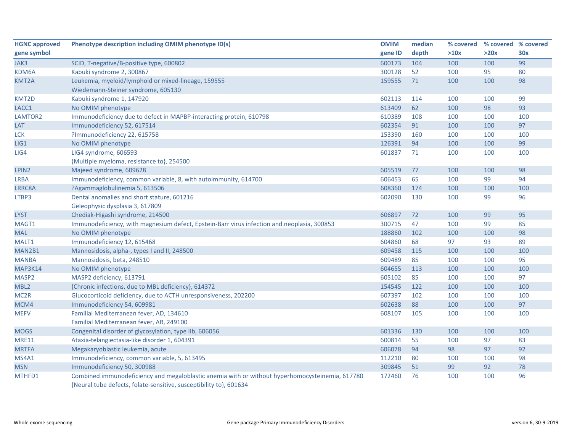| <b>HGNC approved</b> | Phenotype description including OMIM phenotype ID(s)                                            | <b>OMIM</b> | median | % covered | % covered % covered |            |
|----------------------|-------------------------------------------------------------------------------------------------|-------------|--------|-----------|---------------------|------------|
| gene symbol          |                                                                                                 | gene ID     | depth  | >10x      | >20x                | <b>30x</b> |
| JAK3                 | SCID, T-negative/B-positive type, 600802                                                        | 600173      | 104    | 100       | 100                 | 99         |
| KDM6A                | Kabuki syndrome 2, 300867                                                                       | 300128      | 52     | 100       | 95                  | 80         |
| KMT2A                | Leukemia, myeloid/lymphoid or mixed-lineage, 159555                                             | 159555      | 71     | 100       | 100                 | 98         |
|                      | Wiedemann-Steiner syndrome, 605130                                                              |             |        |           |                     |            |
| KMT2D                | Kabuki syndrome 1, 147920                                                                       | 602113      | 114    | 100       | 100                 | 99         |
| LACC1                | No OMIM phenotype                                                                               | 613409      | 62     | 100       | 98                  | 93         |
| LAMTOR2              | Immunodeficiency due to defect in MAPBP-interacting protein, 610798                             | 610389      | 108    | 100       | 100                 | 100        |
| LAT                  | Immunodeficiency 52, 617514                                                                     | 602354      | 91     | 100       | 100                 | 97         |
| <b>LCK</b>           | ?Immunodeficiency 22, 615758                                                                    | 153390      | 160    | 100       | 100                 | 100        |
| LIG1                 | No OMIM phenotype                                                                               | 126391      | 94     | 100       | 100                 | 99         |
| LIG4                 | LIG4 syndrome, 606593                                                                           | 601837      | 71     | 100       | 100                 | 100        |
|                      | {Multiple myeloma, resistance to}, 254500                                                       |             |        |           |                     |            |
| LPIN <sub>2</sub>    | Majeed syndrome, 609628                                                                         | 605519      | 77     | 100       | 100                 | 98         |
| LRBA                 | Immunodeficiency, common variable, 8, with autoimmunity, 614700                                 | 606453      | 65     | 100       | 99                  | 94         |
| LRRC8A               | ?Agammaglobulinemia 5, 613506                                                                   | 608360      | 174    | 100       | 100                 | 100        |
| LTBP3                | Dental anomalies and short stature, 601216                                                      | 602090      | 130    | 100       | 99                  | 96         |
|                      | Geleophysic dysplasia 3, 617809                                                                 |             |        |           |                     |            |
| <b>LYST</b>          | Chediak-Higashi syndrome, 214500                                                                | 606897      | 72     | 100       | 99                  | 95         |
| MAGT1                | Immunodeficiency, with magnesium defect, Epstein-Barr virus infection and neoplasia, 300853     | 300715      | 47     | 100       | 99                  | 85         |
| <b>MAL</b>           | No OMIM phenotype                                                                               | 188860      | 102    | 100       | 100                 | 98         |
| MALT1                | Immunodeficiency 12, 615468                                                                     | 604860      | 68     | 97        | 93                  | 89         |
| MAN2B1               | Mannosidosis, alpha-, types I and II, 248500                                                    | 609458      | 115    | 100       | 100                 | 100        |
| <b>MANBA</b>         | Mannosidosis, beta, 248510                                                                      | 609489      | 85     | 100       | 100                 | 95         |
| MAP3K14              | No OMIM phenotype                                                                               | 604655      | 113    | 100       | 100                 | 100        |
| MASP <sub>2</sub>    | MASP2 deficiency, 613791                                                                        | 605102      | 85     | 100       | 100                 | 97         |
| MBL <sub>2</sub>     | {Chronic infections, due to MBL deficiency}, 614372                                             | 154545      | 122    | 100       | 100                 | 100        |
| MC <sub>2R</sub>     | Glucocorticoid deficiency, due to ACTH unresponsiveness, 202200                                 | 607397      | 102    | 100       | 100                 | 100        |
| MCM4                 | Immunodeficiency 54, 609981                                                                     | 602638      | 88     | 100       | 100                 | 97         |
| <b>MEFV</b>          | Familial Mediterranean fever, AD, 134610                                                        | 608107      | 105    | 100       | 100                 | 100        |
|                      | Familial Mediterranean fever, AR, 249100                                                        |             |        |           |                     |            |
| <b>MOGS</b>          | Congenital disorder of glycosylation, type IIb, 606056                                          | 601336      | 130    | 100       | 100                 | 100        |
| <b>MRE11</b>         | Ataxia-telangiectasia-like disorder 1, 604391                                                   | 600814      | 55     | 100       | 97                  | 83         |
| <b>MRTFA</b>         | Megakaryoblastic leukemia, acute                                                                | 606078      | 94     | 98        | 97                  | 92         |
| MS4A1                | Immunodeficiency, common variable, 5, 613495                                                    | 112210      | 80     | 100       | 100                 | 98         |
| <b>MSN</b>           | Immunodeficiency 50, 300988                                                                     | 309845      | 51     | 99        | 92                  | 78         |
| MTHFD1               | Combined immunodeficiency and megaloblastic anemia with or without hyperhomocysteinemia, 617780 | 172460      | 76     | 100       | 100                 | 96         |
|                      | {Neural tube defects, folate-sensitive, susceptibility to}, 601634                              |             |        |           |                     |            |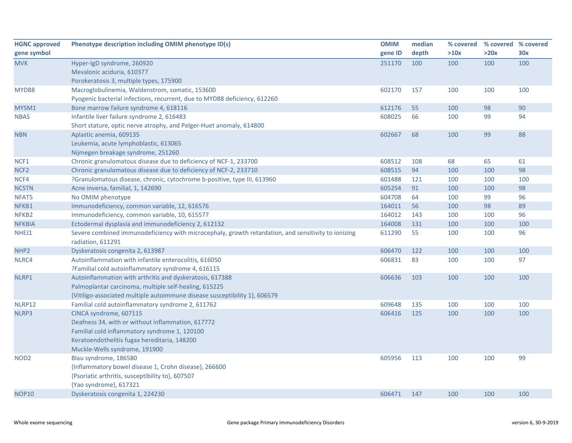| <b>HGNC approved</b> | Phenotype description including OMIM phenotype ID(s)                                                | <b>OMIM</b> | median | % covered |      | % covered % covered |
|----------------------|-----------------------------------------------------------------------------------------------------|-------------|--------|-----------|------|---------------------|
| gene symbol          |                                                                                                     | gene ID     | depth  | >10x      | >20x | 30x                 |
| <b>MVK</b>           | Hyper-IgD syndrome, 260920                                                                          | 251170      | 100    | 100       | 100  | 100                 |
|                      | Mevalonic aciduria, 610377                                                                          |             |        |           |      |                     |
|                      | Porokeratosis 3, multiple types, 175900                                                             |             |        |           |      |                     |
| MYD88                | Macroglobulinemia, Waldenstrom, somatic, 153600                                                     | 602170      | 157    | 100       | 100  | 100                 |
|                      | Pyogenic bacterial infections, recurrent, due to MYD88 deficiency, 612260                           |             |        |           |      |                     |
| MYSM1                | Bone marrow failure syndrome 4, 618116                                                              | 612176      | 55     | 100       | 98   | 90                  |
| <b>NBAS</b>          | Infantile liver failure syndrome 2, 616483                                                          | 608025      | 66     | 100       | 99   | 94                  |
|                      | Short stature, optic nerve atrophy, and Pelger-Huet anomaly, 614800                                 |             |        |           |      |                     |
| <b>NBN</b>           | Aplastic anemia, 609135                                                                             | 602667      | 68     | 100       | 99   | 88                  |
|                      | Leukemia, acute lymphoblastic, 613065                                                               |             |        |           |      |                     |
|                      | Nijmegen breakage syndrome, 251260                                                                  |             |        |           |      |                     |
| NCF1                 | Chronic granulomatous disease due to deficiency of NCF-1, 233700                                    | 608512      | 108    | 68        | 65   | 61                  |
| NCF <sub>2</sub>     | Chronic granulomatous disease due to deficiency of NCF-2, 233710                                    | 608515      | 94     | 100       | 100  | 98                  |
| NCF4                 | ?Granulomatous disease, chronic, cytochrome b-positive, type III, 613960                            | 601488      | 121    | 100       | 100  | 100                 |
| <b>NCSTN</b>         | Acne inversa, familial, 1, 142690                                                                   | 605254      | 91     | 100       | 100  | 98                  |
| NFAT5                | No OMIM phenotype                                                                                   | 604708      | 64     | 100       | 99   | 96                  |
| NFKB1                | Immunodeficiency, common variable, 12, 616576                                                       | 164011      | 56     | 100       | 98   | 89                  |
| NFKB2                | Immunodeficiency, common variable, 10, 615577                                                       | 164012      | 143    | 100       | 100  | 96                  |
| <b>NFKBIA</b>        | Ectodermal dysplasia and immunodeficiency 2, 612132                                                 | 164008      | 131    | 100       | 100  | 100                 |
| NHEJ1                | Severe combined immunodeficiency with microcephaly, growth retardation, and sensitivity to ionizing | 611290      | 55     | 100       | 100  | 96                  |
|                      | radiation, 611291                                                                                   |             |        |           |      |                     |
| NHP <sub>2</sub>     | Dyskeratosis congenita 2, 613987                                                                    | 606470      | 122    | 100       | 100  | 100                 |
| NLRC4                | Autoinflammation with infantile enterocolitis, 616050                                               | 606831      | 83     | 100       | 100  | 97                  |
|                      | ?Familial cold autoinflammatory syndrome 4, 616115                                                  |             |        |           |      |                     |
| NLRP1                | Autoinflammation with arthritis and dyskeratosis, 617388                                            | 606636      | 103    | 100       | 100  | 100                 |
|                      | Palmoplantar carcinoma, multiple self-healing, 615225                                               |             |        |           |      |                     |
|                      | {Vitiligo-associated multiple autoimmune disease susceptibility 1}, 606579                          |             |        |           |      |                     |
| NLRP12               | Familial cold autoinflammatory syndrome 2, 611762                                                   | 609648      | 135    | 100       | 100  | 100                 |
| NLRP3                | CINCA syndrome, 607115                                                                              | 606416      | 125    | 100       | 100  | 100                 |
|                      | Deafness 34, with or without inflammation, 617772                                                   |             |        |           |      |                     |
|                      | Familial cold inflammatory syndrome 1, 120100                                                       |             |        |           |      |                     |
|                      | Keratoendothelitis fugax hereditaria, 148200                                                        |             |        |           |      |                     |
|                      | Muckle-Wells syndrome, 191900                                                                       |             |        |           |      |                     |
| NOD <sub>2</sub>     | Blau syndrome, 186580                                                                               | 605956      | 113    | 100       | 100  | 99                  |
|                      | {Inflammatory bowel disease 1, Crohn disease}, 266600                                               |             |        |           |      |                     |
|                      | {Psoriatic arthritis, susceptibility to}, 607507                                                    |             |        |           |      |                     |
|                      | {Yao syndrome}, 617321                                                                              |             |        |           |      |                     |
| <b>NOP10</b>         | Dyskeratosis congenita 1, 224230                                                                    | 606471      | 147    | 100       | 100  | 100                 |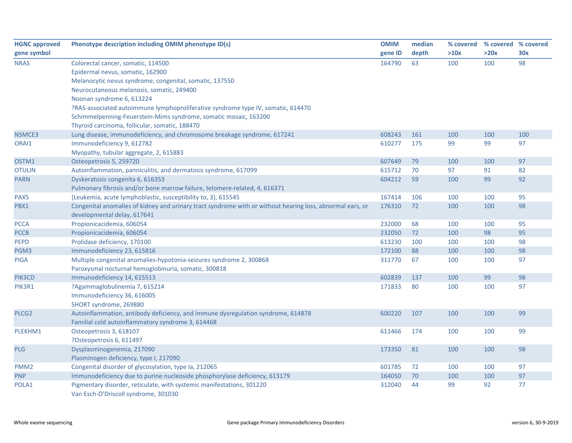| <b>HGNC approved</b> | Phenotype description including OMIM phenotype ID(s)                                                          | <b>OMIM</b> | median | % covered |      | % covered % covered |
|----------------------|---------------------------------------------------------------------------------------------------------------|-------------|--------|-----------|------|---------------------|
| gene symbol          |                                                                                                               | gene ID     | depth  | >10x      | >20x | 30x                 |
| <b>NRAS</b>          | Colorectal cancer, somatic, 114500                                                                            | 164790      | 63     | 100       | 100  | 98                  |
|                      | Epidermal nevus, somatic, 162900                                                                              |             |        |           |      |                     |
|                      | Melanocytic nevus syndrome, congenital, somatic, 137550                                                       |             |        |           |      |                     |
|                      | Neurocutaneous melanosis, somatic, 249400                                                                     |             |        |           |      |                     |
|                      | Noonan syndrome 6, 613224                                                                                     |             |        |           |      |                     |
|                      | ?RAS-associated autoimmune lymphoproliferative syndrome type IV, somatic, 614470                              |             |        |           |      |                     |
|                      | Schimmelpenning-Feuerstein-Mims syndrome, somatic mosaic, 163200                                              |             |        |           |      |                     |
|                      | Thyroid carcinoma, follicular, somatic, 188470                                                                |             |        |           |      |                     |
| NSMCE3               | Lung disease, immunodeficiency, and chromosome breakage syndrome, 617241                                      | 608243      | 161    | 100       | 100  | 100                 |
| ORAI1                | Immunodeficiency 9, 612782                                                                                    | 610277      | 175    | 99        | 99   | 97                  |
|                      | Myopathy, tubular aggregate, 2, 615883                                                                        |             |        |           |      |                     |
| OSTM1                | Osteopetrosis 5, 259720                                                                                       | 607649      | 79     | 100       | 100  | 97                  |
| <b>OTULIN</b>        | Autoinflammation, panniculitis, and dermatosis syndrome, 617099                                               | 615712      | 70     | 97        | 91   | 82                  |
| <b>PARN</b>          | Dyskeratosis congenita 6, 616353                                                                              | 604212      | 59     | 100       | 99   | 92                  |
|                      | Pulmonary fibrosis and/or bone marrow failure, telomere-related, 4, 616371                                    |             |        |           |      |                     |
| PAX5                 | {Leukemia, acute lymphoblastic, susceptibility to, 3}, 615545                                                 | 167414      | 106    | 100       | 100  | 95                  |
| PBX1                 | Congenital anomalies of kidney and urinary tract syndrome with or without hearing loss, abnormal ears, or     | 176310      | 72     | 100       | 100  | 98                  |
|                      | developmental delay, 617641                                                                                   |             |        |           |      |                     |
| <b>PCCA</b>          | Propionicacidemia, 606054                                                                                     | 232000      | 68     | 100       | 100  | 95                  |
| <b>PCCB</b>          | Propionicacidemia, 606054                                                                                     | 232050      | 72     | 100       | 98   | 95                  |
| <b>PEPD</b>          | Prolidase deficiency, 170100                                                                                  | 613230      | 100    | 100       | 100  | 98                  |
| PGM3                 | Immunodeficiency 23, 615816                                                                                   | 172100      | 88     | 100       | 100  | 98                  |
| <b>PIGA</b>          | Multiple congenital anomalies-hypotonia-seizures syndrome 2, 300868                                           | 311770      | 67     | 100       | 100  | 97                  |
|                      | Paroxysmal nocturnal hemoglobinuria, somatic, 300818                                                          |             |        |           |      |                     |
| PIK3CD               | Immunodeficiency 14, 615513                                                                                   | 602839      | 137    | 100       | 99   | 98                  |
| PIK3R1               | ?Agammaglobulinemia 7, 615214                                                                                 | 171833      | 80     | 100       | 100  | 97                  |
|                      | Immunodeficiency 36, 616005                                                                                   |             |        |           |      |                     |
|                      | SHORT syndrome, 269880                                                                                        |             |        |           |      |                     |
| PLCG <sub>2</sub>    | Autoinflammation, antibody deficiency, and immune dysregulation syndrome, 614878                              | 600220      | 107    | 100       | 100  | 99                  |
|                      | Familial cold autoinflammatory syndrome 3, 614468                                                             |             |        |           |      |                     |
| PLEKHM1              | Osteopetrosis 3, 618107                                                                                       | 611466      | 174    | 100       | 100  | 99                  |
|                      | ?Osteopetrosis 6, 611497                                                                                      |             |        |           |      |                     |
| PLG                  | Dysplasminogenemia, 217090                                                                                    | 173350      | 81     | 100       | 100  | 98                  |
|                      | Plasminogen deficiency, type I, 217090                                                                        |             |        |           |      |                     |
| PMM <sub>2</sub>     | Congenital disorder of glycosylation, type Ia, 212065                                                         | 601785      | 72     | 100       | 100  | 97                  |
| <b>PNP</b>           | Immunodeficiency due to purine nucleoside phosphorylase deficiency, 613179                                    | 164050      | 70     | 100       | 100  | 97                  |
| POLA1                | Pigmentary disorder, reticulate, with systemic manifestations, 301220<br>Van Esch-O'Driscoll syndrome, 301030 | 312040      | 44     | 99        | 92   | 77                  |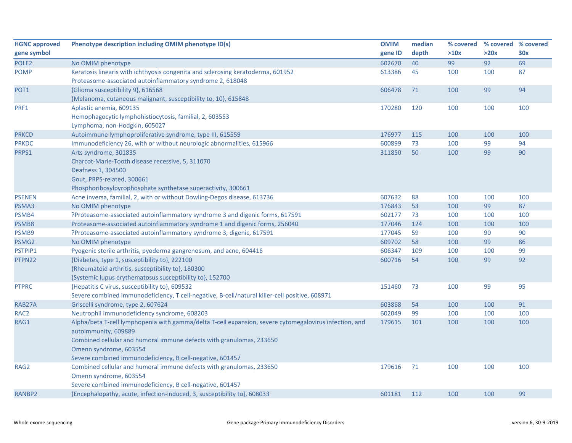| <b>HGNC approved</b> | Phenotype description including OMIM phenotype ID(s)                                                   | <b>OMIM</b> | median | % covered | % covered % covered |     |
|----------------------|--------------------------------------------------------------------------------------------------------|-------------|--------|-----------|---------------------|-----|
| gene symbol          |                                                                                                        | gene ID     | depth  | >10x      | >20x                | 30x |
| POLE <sub>2</sub>    | No OMIM phenotype                                                                                      | 602670      | 40     | 99        | 92                  | 69  |
| <b>POMP</b>          | Keratosis linearis with ichthyosis congenita and sclerosing keratoderma, 601952                        | 613386      | 45     | 100       | 100                 | 87  |
|                      | Proteasome-associated autoinflammatory syndrome 2, 618048                                              |             |        |           |                     |     |
| POT <sub>1</sub>     | {Glioma susceptibility 9}, 616568                                                                      | 606478      | 71     | 100       | 99                  | 94  |
|                      | {Melanoma, cutaneous malignant, susceptibility to, 10}, 615848                                         |             |        |           |                     |     |
| PRF1                 | Aplastic anemia, 609135                                                                                | 170280      | 120    | 100       | 100                 | 100 |
|                      | Hemophagocytic lymphohistiocytosis, familial, 2, 603553                                                |             |        |           |                     |     |
|                      | Lymphoma, non-Hodgkin, 605027                                                                          |             |        |           |                     |     |
| <b>PRKCD</b>         | Autoimmune lymphoproliferative syndrome, type III, 615559                                              | 176977      | 115    | 100       | 100                 | 100 |
| <b>PRKDC</b>         | Immunodeficiency 26, with or without neurologic abnormalities, 615966                                  | 600899      | 73     | 100       | 99                  | 94  |
| PRPS1                | Arts syndrome, 301835                                                                                  | 311850      | 50     | 100       | 99                  | 90  |
|                      | Charcot-Marie-Tooth disease recessive, 5, 311070                                                       |             |        |           |                     |     |
|                      | Deafness 1, 304500                                                                                     |             |        |           |                     |     |
|                      | Gout, PRPS-related, 300661                                                                             |             |        |           |                     |     |
|                      | Phosphoribosylpyrophosphate synthetase superactivity, 300661                                           |             |        |           |                     |     |
| <b>PSENEN</b>        | Acne inversa, familial, 2, with or without Dowling-Degos disease, 613736                               | 607632      | 88     | 100       | 100                 | 100 |
| PSMA3                | No OMIM phenotype                                                                                      | 176843      | 53     | 100       | 99                  | 87  |
| PSMB4                | ?Proteasome-associated autoinflammatory syndrome 3 and digenic forms, 617591                           | 602177      | 73     | 100       | 100                 | 100 |
| PSMB8                | Proteasome-associated autoinflammatory syndrome 1 and digenic forms, 256040                            | 177046      | 124    | 100       | 100                 | 100 |
| PSMB9                | ?Proteasome-associated autoinflammatory syndrome 3, digenic, 617591                                    | 177045      | 59     | 100       | 90                  | 90  |
| PSMG2                | No OMIM phenotype                                                                                      | 609702      | 58     | 100       | 99                  | 86  |
| PSTPIP1              | Pyogenic sterile arthritis, pyoderma gangrenosum, and acne, 604416                                     | 606347      | 109    | 100       | 100                 | 99  |
| PTPN22               | {Diabetes, type 1, susceptibility to}, 222100                                                          | 600716      | 54     | 100       | 99                  | 92  |
|                      | {Rheumatoid arthritis, susceptibility to}, 180300                                                      |             |        |           |                     |     |
|                      | {Systemic lupus erythematosus susceptibility to}, 152700                                               |             |        |           |                     |     |
| <b>PTPRC</b>         | {Hepatitis C virus, susceptibility to}, 609532                                                         | 151460      | 73     | 100       | 99                  | 95  |
|                      | Severe combined immunodeficiency, T cell-negative, B-cell/natural killer-cell positive, 608971         |             |        |           |                     |     |
| RAB27A               | Griscelli syndrome, type 2, 607624                                                                     | 603868      | 54     | 100       | 100                 | 91  |
| RAC <sub>2</sub>     | Neutrophil immunodeficiency syndrome, 608203                                                           | 602049      | 99     | 100       | 100                 | 100 |
| RAG1                 | Alpha/beta T-cell lymphopenia with gamma/delta T-cell expansion, severe cytomegalovirus infection, and | 179615      | 101    | 100       | 100                 | 100 |
|                      | autoimmunity, 609889                                                                                   |             |        |           |                     |     |
|                      | Combined cellular and humoral immune defects with granulomas, 233650                                   |             |        |           |                     |     |
|                      | Omenn syndrome, 603554                                                                                 |             |        |           |                     |     |
|                      | Severe combined immunodeficiency, B cell-negative, 601457                                              |             |        |           |                     |     |
| RAG2                 | Combined cellular and humoral immune defects with granulomas, 233650                                   | 179616      | 71     | 100       | 100                 | 100 |
|                      | Omenn syndrome, 603554                                                                                 |             |        |           |                     |     |
|                      | Severe combined immunodeficiency, B cell-negative, 601457                                              |             |        |           |                     |     |
| RANBP2               | {Encephalopathy, acute, infection-induced, 3, susceptibility to}, 608033                               | 601181      | 112    | 100       | 100                 | 99  |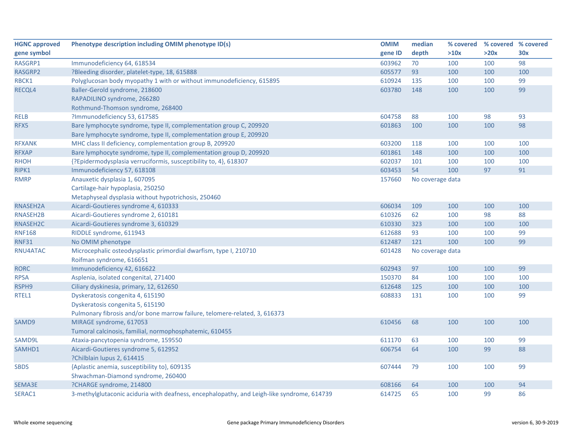| <b>HGNC approved</b> | Phenotype description including OMIM phenotype ID(s)                                       | <b>OMIM</b> | median           | % covered | % covered % covered |     |
|----------------------|--------------------------------------------------------------------------------------------|-------------|------------------|-----------|---------------------|-----|
| gene symbol          |                                                                                            | gene ID     | depth            | >10x      | >20x                | 30x |
| RASGRP1              | Immunodeficiency 64, 618534                                                                | 603962      | 70               | 100       | 100                 | 98  |
| RASGRP2              | ?Bleeding disorder, platelet-type, 18, 615888                                              | 605577      | 93               | 100       | 100                 | 100 |
| RBCK1                | Polyglucosan body myopathy 1 with or without immunodeficiency, 615895                      | 610924      | 135              | 100       | 100                 | 99  |
| RECQL4               | Baller-Gerold syndrome, 218600                                                             | 603780      | 148              | 100       | 100                 | 99  |
|                      | RAPADILINO syndrome, 266280                                                                |             |                  |           |                     |     |
|                      | Rothmund-Thomson syndrome, 268400                                                          |             |                  |           |                     |     |
| <b>RELB</b>          | ?Immunodeficiency 53, 617585                                                               | 604758      | 88               | 100       | 98                  | 93  |
| RFX5                 | Bare lymphocyte syndrome, type II, complementation group C, 209920                         | 601863      | 100              | 100       | 100                 | 98  |
|                      | Bare lymphocyte syndrome, type II, complementation group E, 209920                         |             |                  |           |                     |     |
| <b>RFXANK</b>        | MHC class II deficiency, complementation group B, 209920                                   | 603200      | 118              | 100       | 100                 | 100 |
| <b>RFXAP</b>         | Bare lymphocyte syndrome, type II, complementation group D, 209920                         | 601861      | 148              | 100       | 100                 | 100 |
| <b>RHOH</b>          | {?Epidermodysplasia verruciformis, susceptibility to, 4}, 618307                           | 602037      | 101              | 100       | 100                 | 100 |
| RIPK1                | Immunodeficiency 57, 618108                                                                | 603453      | 54               | 100       | 97                  | 91  |
| <b>RMRP</b>          | Anauxetic dysplasia 1, 607095                                                              | 157660      | No coverage data |           |                     |     |
|                      | Cartilage-hair hypoplasia, 250250                                                          |             |                  |           |                     |     |
|                      | Metaphyseal dysplasia without hypotrichosis, 250460                                        |             |                  |           |                     |     |
| RNASEH2A             | Aicardi-Goutieres syndrome 4, 610333                                                       | 606034      | 109              | 100       | 100                 | 100 |
| RNASEH2B             | Aicardi-Goutieres syndrome 2, 610181                                                       | 610326      | 62               | 100       | 98                  | 88  |
| RNASEH2C             | Aicardi-Goutieres syndrome 3, 610329                                                       | 610330      | 323              | 100       | 100                 | 100 |
| <b>RNF168</b>        | RIDDLE syndrome, 611943                                                                    | 612688      | 93               | 100       | 100                 | 99  |
| <b>RNF31</b>         | No OMIM phenotype                                                                          | 612487      | 121              | 100       | 100                 | 99  |
| RNU4ATAC             | Microcephalic osteodysplastic primordial dwarfism, type I, 210710                          | 601428      | No coverage data |           |                     |     |
|                      | Roifman syndrome, 616651                                                                   |             |                  |           |                     |     |
| <b>RORC</b>          | Immunodeficiency 42, 616622                                                                | 602943      | 97               | 100       | 100                 | 99  |
| <b>RPSA</b>          | Asplenia, isolated congenital, 271400                                                      | 150370      | 84               | 100       | 100                 | 100 |
| RSPH9                | Ciliary dyskinesia, primary, 12, 612650                                                    | 612648      | 125              | 100       | 100                 | 100 |
| RTEL1                | Dyskeratosis congenita 4, 615190                                                           | 608833      | 131              | 100       | 100                 | 99  |
|                      | Dyskeratosis congenita 5, 615190                                                           |             |                  |           |                     |     |
|                      | Pulmonary fibrosis and/or bone marrow failure, telomere-related, 3, 616373                 |             |                  |           |                     |     |
| SAMD9                | MIRAGE syndrome, 617053                                                                    | 610456      | 68               | 100       | 100                 | 100 |
|                      | Tumoral calcinosis, familial, normophosphatemic, 610455                                    |             |                  |           |                     |     |
| SAMD9L               | Ataxia-pancytopenia syndrome, 159550                                                       | 611170      | 63               | 100       | 100                 | 99  |
| SAMHD1               | Aicardi-Goutieres syndrome 5, 612952                                                       | 606754      | 64               | 100       | 99                  | 88  |
|                      | ?Chilblain lupus 2, 614415                                                                 |             |                  |           |                     |     |
| <b>SBDS</b>          | {Aplastic anemia, susceptibility to}, 609135                                               | 607444      | 79               | 100       | 100                 | 99  |
|                      | Shwachman-Diamond syndrome, 260400                                                         |             |                  |           |                     |     |
| SEMA3E               | ?CHARGE syndrome, 214800                                                                   | 608166      | 64               | 100       | 100                 | 94  |
| SERAC1               | 3-methylglutaconic aciduria with deafness, encephalopathy, and Leigh-like syndrome, 614739 | 614725      | 65               | 100       | 99                  | 86  |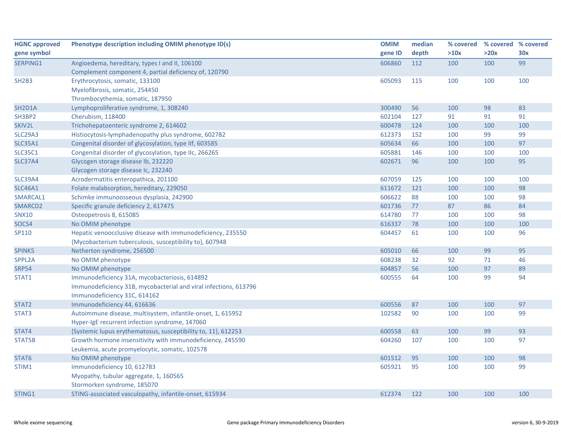| <b>HGNC approved</b> | Phenotype description including OMIM phenotype ID(s)             | <b>OMIM</b> | median | % covered | % covered % covered |     |
|----------------------|------------------------------------------------------------------|-------------|--------|-----------|---------------------|-----|
| gene symbol          |                                                                  | gene ID     | depth  | >10x      | >20x                | 30x |
| SERPING1             | Angioedema, hereditary, types I and II, 106100                   | 606860      | 112    | 100       | 100                 | 99  |
|                      | Complement component 4, partial deficiency of, 120790            |             |        |           |                     |     |
| <b>SH2B3</b>         | Erythrocytosis, somatic, 133100                                  | 605093      | 115    | 100       | 100                 | 100 |
|                      | Myelofibrosis, somatic, 254450                                   |             |        |           |                     |     |
|                      | Thrombocythemia, somatic, 187950                                 |             |        |           |                     |     |
| SH2D1A               | Lymphoproliferative syndrome, 1, 308240                          | 300490      | 56     | 100       | 98                  | 83  |
| SH3BP2               | Cherubism, 118400                                                | 602104      | 127    | 91        | 91                  | 91  |
| SKIV2L               | Trichohepatoenteric syndrome 2, 614602                           | 600478      | 124    | 100       | 100                 | 100 |
| <b>SLC29A3</b>       | Histiocytosis-lymphadenopathy plus syndrome, 602782              | 612373      | 152    | 100       | 99                  | 99  |
| <b>SLC35A1</b>       | Congenital disorder of glycosylation, type IIf, 603585           | 605634      | 66     | 100       | 100                 | 97  |
| <b>SLC35C1</b>       | Congenital disorder of glycosylation, type IIc, 266265           | 605881      | 146    | 100       | 100                 | 100 |
| <b>SLC37A4</b>       | Glycogen storage disease Ib, 232220                              | 602671      | 96     | 100       | 100                 | 95  |
|                      | Glycogen storage disease Ic, 232240                              |             |        |           |                     |     |
| <b>SLC39A4</b>       | Acrodermatitis enteropathica, 201100                             | 607059      | 125    | 100       | 100                 | 100 |
| <b>SLC46A1</b>       | Folate malabsorption, hereditary, 229050                         | 611672      | 121    | 100       | 100                 | 98  |
| SMARCAL1             | Schimke immunoosseous dysplasia, 242900                          | 606622      | 88     | 100       | 100                 | 98  |
| SMARCD2              | Specific granule deficiency 2, 617475                            | 601736      | 77     | 87        | 86                  | 84  |
| <b>SNX10</b>         | Osteopetrosis 8, 615085                                          | 614780      | 77     | 100       | 100                 | 98  |
| SOCS4                | No OMIM phenotype                                                | 616337      | 78     | 100       | 100                 | 100 |
| SP110                | Hepatic venoocclusive disease with immunodeficiency, 235550      | 604457      | 61     | 100       | 100                 | 96  |
|                      | {Mycobacterium tuberculosis, susceptibility to}, 607948          |             |        |           |                     |     |
| SPINK5               | Netherton syndrome, 256500                                       | 605010      | 66     | 100       | 99                  | 95  |
| SPPL2A               | No OMIM phenotype                                                | 608238      | 32     | 92        | 71                  | 46  |
| <b>SRP54</b>         | No OMIM phenotype                                                | 604857      | 56     | 100       | 97                  | 89  |
| STAT1                | Immunodeficiency 31A, mycobacteriosis, 614892                    | 600555      | 64     | 100       | 99                  | 94  |
|                      | Immunodeficiency 31B, mycobacterial and viral infections, 613796 |             |        |           |                     |     |
|                      | Immunodeficiency 31C, 614162                                     |             |        |           |                     |     |
| STAT <sub>2</sub>    | Immunodeficiency 44, 616636                                      | 600556      | 87     | 100       | 100                 | 97  |
| STAT3                | Autoimmune disease, multisystem, infantile-onset, 1, 615952      | 102582      | 90     | 100       | 100                 | 99  |
|                      | Hyper-IgE recurrent infection syndrome, 147060                   |             |        |           |                     |     |
| STAT4                | {Systemic lupus erythematosus, susceptibility to, 11}, 612253    | 600558      | 63     | 100       | 99                  | 93  |
| STAT5B               | Growth hormone insensitivity with immunodeficiency, 245590       | 604260      | 107    | 100       | 100                 | 97  |
|                      | Leukemia, acute promyelocytic, somatic, 102578                   |             |        |           |                     |     |
| STAT6                | No OMIM phenotype                                                | 601512      | 95     | 100       | 100                 | 98  |
| STIM1                | Immunodeficiency 10, 612783                                      | 605921      | 95     | 100       | 100                 | 99  |
|                      | Myopathy, tubular aggregate, 1, 160565                           |             |        |           |                     |     |
|                      | Stormorken syndrome, 185070                                      |             |        |           |                     |     |
| STING1               | STING-associated vasculopathy, infantile-onset, 615934           | 612374      | 122    | 100       | 100                 | 100 |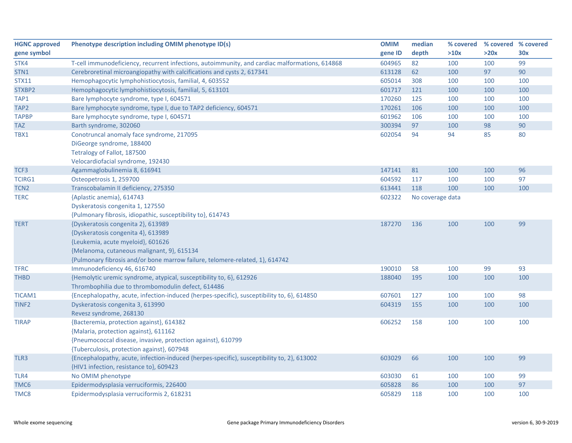| <b>HGNC approved</b> | Phenotype description including OMIM phenotype ID(s)                                           | <b>OMIM</b> | median           | % covered | % covered % covered |     |
|----------------------|------------------------------------------------------------------------------------------------|-------------|------------------|-----------|---------------------|-----|
| gene symbol          |                                                                                                | gene ID     | depth            | >10x      | >20x                | 30x |
| STK4                 | T-cell immunodeficiency, recurrent infections, autoimmunity, and cardiac malformations, 614868 | 604965      | 82               | 100       | 100                 | 99  |
| STN1                 | Cerebroretinal microangiopathy with calcifications and cysts 2, 617341                         | 613128      | 62               | 100       | 97                  | 90  |
| <b>STX11</b>         | Hemophagocytic lymphohistiocytosis, familial, 4, 603552                                        | 605014      | 308              | 100       | 100                 | 100 |
| STXBP2               | Hemophagocytic lymphohistiocytosis, familial, 5, 613101                                        | 601717      | 121              | 100       | 100                 | 100 |
| TAP1                 | Bare lymphocyte syndrome, type I, 604571                                                       | 170260      | 125              | 100       | 100                 | 100 |
| TAP2                 | Bare lymphocyte syndrome, type I, due to TAP2 deficiency, 604571                               | 170261      | 106              | 100       | 100                 | 100 |
| <b>TAPBP</b>         | Bare lymphocyte syndrome, type I, 604571                                                       | 601962      | 106              | 100       | 100                 | 100 |
| <b>TAZ</b>           | Barth syndrome, 302060                                                                         | 300394      | 97               | 100       | 98                  | 90  |
| TBX1                 | Conotruncal anomaly face syndrome, 217095                                                      | 602054      | 94               | 94        | 85                  | 80  |
|                      | DiGeorge syndrome, 188400                                                                      |             |                  |           |                     |     |
|                      | Tetralogy of Fallot, 187500                                                                    |             |                  |           |                     |     |
|                      | Velocardiofacial syndrome, 192430                                                              |             |                  |           |                     |     |
| TCF3                 | Agammaglobulinemia 8, 616941                                                                   | 147141      | 81               | 100       | 100                 | 96  |
| TCIRG1               | Osteopetrosis 1, 259700                                                                        | 604592      | 117              | 100       | 100                 | 97  |
| TCN <sub>2</sub>     | Transcobalamin II deficiency, 275350                                                           | 613441      | 118              | 100       | 100                 | 100 |
| <b>TERC</b>          | {Aplastic anemia}, 614743                                                                      | 602322      | No coverage data |           |                     |     |
|                      | Dyskeratosis congenita 1, 127550                                                               |             |                  |           |                     |     |
|                      | {Pulmonary fibrosis, idiopathic, susceptibility to}, 614743                                    |             |                  |           |                     |     |
| <b>TERT</b>          | {Dyskeratosis congenita 2}, 613989                                                             | 187270      | 136              | 100       | 100                 | 99  |
|                      | {Dyskeratosis congenita 4}, 613989                                                             |             |                  |           |                     |     |
|                      | {Leukemia, acute myeloid}, 601626                                                              |             |                  |           |                     |     |
|                      | {Melanoma, cutaneous malignant, 9}, 615134                                                     |             |                  |           |                     |     |
|                      | {Pulmonary fibrosis and/or bone marrow failure, telomere-related, 1}, 614742                   |             |                  |           |                     |     |
| <b>TFRC</b>          | Immunodeficiency 46, 616740                                                                    | 190010      | 58               | 100       | 99                  | 93  |
| <b>THBD</b>          | {Hemolytic uremic syndrome, atypical, susceptibility to, 6}, 612926                            | 188040      | 195              | 100       | 100                 | 100 |
|                      | Thrombophilia due to thrombomodulin defect, 614486                                             |             |                  |           |                     |     |
| TICAM1               | {Encephalopathy, acute, infection-induced (herpes-specific), susceptibility to, 6}, 614850     | 607601      | 127              | 100       | 100                 | 98  |
| TINF <sub>2</sub>    | Dyskeratosis congenita 3, 613990                                                               | 604319      | 155              | 100       | 100                 | 100 |
|                      | Revesz syndrome, 268130                                                                        |             |                  |           |                     |     |
| <b>TIRAP</b>         | {Bacteremia, protection against}, 614382                                                       | 606252      | 158              | 100       | 100                 | 100 |
|                      | {Malaria, protection against}, 611162                                                          |             |                  |           |                     |     |
|                      | {Pneumococcal disease, invasive, protection against}, 610799                                   |             |                  |           |                     |     |
|                      | {Tuberculosis, protection against}, 607948                                                     |             |                  |           |                     |     |
| TLR3                 | {Encephalopathy, acute, infection-induced (herpes-specific), susceptibility to, 2}, 613002     | 603029      | 66               | 100       | 100                 | 99  |
|                      | {HIV1 infection, resistance to}, 609423                                                        |             |                  |           |                     |     |
| TLR4                 | No OMIM phenotype                                                                              | 603030      | 61               | 100       | 100                 | 99  |
| TMC6                 | Epidermodysplasia verruciformis, 226400                                                        | 605828      | 86               | 100       | 100                 | 97  |
| TMC8                 | Epidermodysplasia verruciformis 2, 618231                                                      | 605829      | 118              | 100       | 100                 | 100 |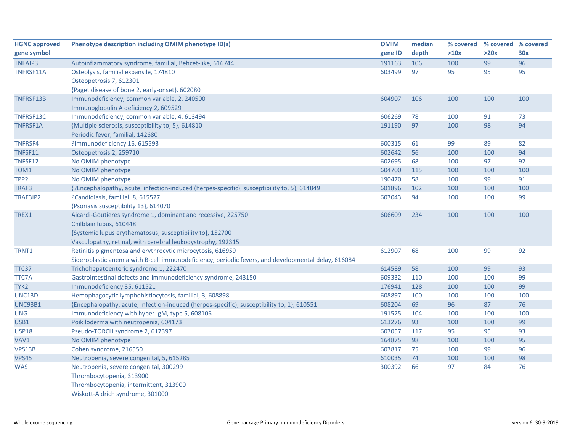| <b>HGNC approved</b> | Phenotype description including OMIM phenotype ID(s)                                                | <b>OMIM</b> | median | % covered | % covered % covered |     |
|----------------------|-----------------------------------------------------------------------------------------------------|-------------|--------|-----------|---------------------|-----|
| gene symbol          |                                                                                                     | gene ID     | depth  | >10x      | >20x                | 30x |
| <b>TNFAIP3</b>       | Autoinflammatory syndrome, familial, Behcet-like, 616744                                            | 191163      | 106    | 100       | 99                  | 96  |
| TNFRSF11A            | Osteolysis, familial expansile, 174810                                                              | 603499      | 97     | 95        | 95                  | 95  |
|                      | Osteopetrosis 7, 612301                                                                             |             |        |           |                     |     |
|                      | {Paget disease of bone 2, early-onset}, 602080                                                      |             |        |           |                     |     |
| TNFRSF13B            | Immunodeficiency, common variable, 2, 240500                                                        | 604907      | 106    | 100       | 100                 | 100 |
|                      | Immunoglobulin A deficiency 2, 609529                                                               |             |        |           |                     |     |
| TNFRSF13C            | Immunodeficiency, common variable, 4, 613494                                                        | 606269      | 78     | 100       | 91                  | 73  |
| TNFRSF1A             | {Multiple sclerosis, susceptibility to, 5}, 614810                                                  | 191190      | 97     | 100       | 98                  | 94  |
|                      | Periodic fever, familial, 142680                                                                    |             |        |           |                     |     |
| TNFRSF4              | ?Immunodeficiency 16, 615593                                                                        | 600315      | 61     | 99        | 89                  | 82  |
| TNFSF11              | Osteopetrosis 2, 259710                                                                             | 602642      | 56     | 100       | 100                 | 94  |
| TNFSF12              | No OMIM phenotype                                                                                   | 602695      | 68     | 100       | 97                  | 92  |
| TOM1                 | No OMIM phenotype                                                                                   | 604700      | 115    | 100       | 100                 | 100 |
| TPP <sub>2</sub>     | No OMIM phenotype                                                                                   | 190470      | 58     | 100       | 99                  | 91  |
| TRAF3                | {?Encephalopathy, acute, infection-induced (herpes-specific), susceptibility to, 5}, 614849         | 601896      | 102    | 100       | 100                 | 100 |
| TRAF3IP2             | ?Candidiasis, familial, 8, 615527                                                                   | 607043      | 94     | 100       | 100                 | 99  |
|                      | {Psoriasis susceptibility 13}, 614070                                                               |             |        |           |                     |     |
| TREX1                | Aicardi-Goutieres syndrome 1, dominant and recessive, 225750                                        | 606609      | 234    | 100       | 100                 | 100 |
|                      | Chilblain lupus, 610448                                                                             |             |        |           |                     |     |
|                      | {Systemic lupus erythematosus, susceptibility to}, 152700                                           |             |        |           |                     |     |
|                      | Vasculopathy, retinal, with cerebral leukodystrophy, 192315                                         |             |        |           |                     |     |
| TRNT1                | Retinitis pigmentosa and erythrocytic microcytosis, 616959                                          | 612907      | 68     | 100       | 99                  | 92  |
|                      | Sideroblastic anemia with B-cell immunodeficiency, periodic fevers, and developmental delay, 616084 |             |        |           |                     |     |
| TTC37                | Trichohepatoenteric syndrome 1, 222470                                                              | 614589      | 58     | 100       | 99                  | 93  |
| TTC7A                | Gastrointestinal defects and immunodeficiency syndrome, 243150                                      | 609332      | 110    | 100       | 100                 | 99  |
| TYK2                 | Immunodeficiency 35, 611521                                                                         | 176941      | 128    | 100       | 100                 | 99  |
| UNC13D               | Hemophagocytic lymphohistiocytosis, familial, 3, 608898                                             | 608897      | 100    | 100       | 100                 | 100 |
| <b>UNC93B1</b>       | {Encephalopathy, acute, infection-induced (herpes-specific), susceptibility to, 1}, 610551          | 608204      | 69     | 96        | 87                  | 76  |
| <b>UNG</b>           | Immunodeficiency with hyper IgM, type 5, 608106                                                     | 191525      | 104    | 100       | 100                 | 100 |
| USB1                 | Poikiloderma with neutropenia, 604173                                                               | 613276      | 93     | 100       | 100                 | 99  |
| <b>USP18</b>         | Pseudo-TORCH syndrome 2, 617397                                                                     | 607057      | 117    | 95        | 95                  | 93  |
| VAV1                 | No OMIM phenotype                                                                                   | 164875      | 98     | 100       | 100                 | 95  |
| VPS13B               | Cohen syndrome, 216550                                                                              | 607817      | 75     | 100       | 99                  | 96  |
| <b>VPS45</b>         | Neutropenia, severe congenital, 5, 615285                                                           | 610035      | 74     | 100       | 100                 | 98  |
| <b>WAS</b>           | Neutropenia, severe congenital, 300299                                                              | 300392      | 66     | 97        | 84                  | 76  |
|                      | Thrombocytopenia, 313900                                                                            |             |        |           |                     |     |
|                      | Thrombocytopenia, intermittent, 313900                                                              |             |        |           |                     |     |
|                      | Wiskott-Aldrich syndrome, 301000                                                                    |             |        |           |                     |     |